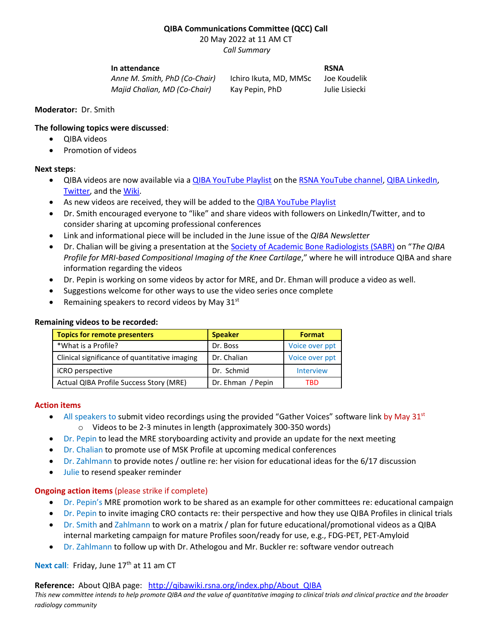# **QIBA Communications Committee (QCC) Call**

20 May 2022 at 11 AM CT

*Call Summary*

### **In attendance RSNA**

*Anne M. Smith, PhD (Co-Chair)* Ichiro Ikuta, MD, MMSc Joe Koudelik *Majid Chalian, MD (Co-Chair)* Kay Pepin, PhD Julie Lisiecki

### **Moderator:** Dr. Smith

## **The following topics were discussed**:

- QIBA videos
- Promotion of videos

## **Next steps**:

- QIBA videos are now available via a [QIBA YouTube Playlist](https://tinyurl.com/QIBA-YouTube-Playlist) on the [RSNA YouTube channel,](https://www.youtube.com/user/RSNAtube) [QIBA LinkedIn,](https://www.linkedin.com/feed/update/urn:li:activity:6932354165700517888) [Twitter,](https://twitter.com/QIBAnews/status/1526589756523655169?s=20&t=dDywtlohE6Q4N-k0nOmW8w) and th[e Wiki.](https://qibawiki.rsna.org/index.php/Main_Page#QIBA_NEWS)
- As new videos are received, they will be added to the **QIBA YouTube Playlist**
- Dr. Smith encouraged everyone to "like" and share videos with followers on LinkedIn/Twitter, and to consider sharing at upcoming professional conferences
- Link and informational piece will be included in the June issue of the *QIBA Newsletter*
- Dr. Chalian will be giving a presentation at the [Society of Academic Bone Radiologists \(SABR\)](http://sabr.us/) on "*The QIBA Profile for MRI-based Compositional Imaging of the Knee Cartilage*," where he will introduce QIBA and share information regarding the videos
- Dr. Pepin is working on some videos by actor for MRE, and Dr. Ehman will produce a video as well.
- Suggestions welcome for other ways to use the video series once complete
- Remaining speakers to record videos by May  $31<sup>st</sup>$

## **Remaining videos to be recorded:**

| <b>Topics for remote presenters</b>           | <b>Speaker</b>    | <b>Format</b>    |
|-----------------------------------------------|-------------------|------------------|
| *What is a Profile?                           | Dr. Boss          | Voice over ppt   |
| Clinical significance of quantitative imaging | Dr. Chalian       | Voice over ppt   |
| iCRO perspective                              | Dr. Schmid        | <b>Interview</b> |
| Actual QIBA Profile Success Story (MRE)       | Dr. Ehman / Pepin | TRD              |

### **Action items**

- $\bullet$  All speakers to submit video recordings using the provided "Gather Voices" software link by May 31st o Videos to be 2-3 minutes in length (approximately 300-350 words)
- Dr. Pepin to lead the MRE storyboarding activity and provide an update for the next meeting
- Dr. Chalian to promote use of MSK Profile at upcoming medical conferences
- Dr. Zahlmann to provide notes / outline re: her vision for educational ideas for the 6/17 discussion
- Julie to resend speaker reminder

# **Ongoing action items** (please strike if complete)

- Dr. Pepin's MRE promotion work to be shared as an example for other committees re: educational campaign
- Dr. Pepin to invite imaging CRO contacts re: their perspective and how they use QIBA Profiles in clinical trials
- Dr. Smith and Zahlmann to work on a matrix / plan for future educational/promotional videos as a QIBA internal marketing campaign for mature Profiles soon/ready for use, e.g., FDG-PET, PET-Amyloid
- Dr. Zahlmann to follow up with Dr. Athelogou and Mr. Buckler re: software vendor outreach

# Next call: Friday, June 17<sup>th</sup> at 11 am CT

**Reference:** About QIBA page: [http://qibawiki.rsna.org/index.php/About\\_QIBA](http://qibawiki.rsna.org/index.php/About_QIBA)

*This new committee intends to help promote QIBA and the value of quantitative imaging to clinical trials and clinical practice and the broader radiology community*